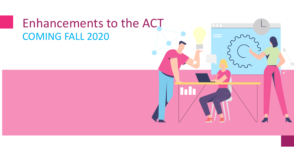#### Enhancements to the ACT COMING FALL 2020

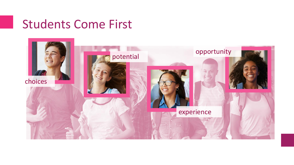### Students Come First

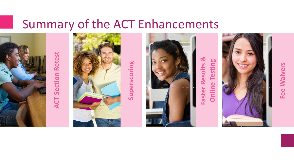## Summary of the ACT Enhancements

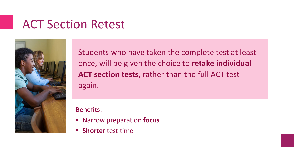## ACT Section Retest



Students who have taken the complete test at least once, will be given the choice to **retake individual ACT section tests**, rather than the full ACT test again.

Benefits:

- Narrow preparation **focus**
- **Shorter** test time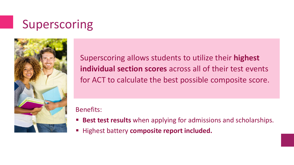# Superscoring



Superscoring aIlows students to utilize their **highest individual section scores** across all of their test events for ACT to calculate the best possible composite score.

Benefits:

- **Best test results** when applying for admissions and scholarships.
- **Highest battery composite report included.**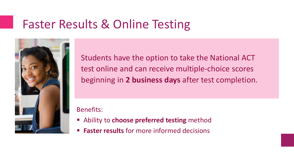## Faster Results & Online Testing



Students have the option to take the National ACT test online and can receive multiple-choice scores beginning in **2 business days** after test completion.

Benefits:

- **EXADELIATE:** Ability to choose preferred testing method
- **Faster results** for more informed decisions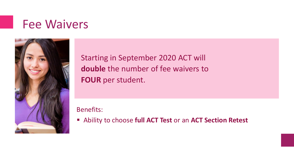### Fee Waivers



Starting in September 2020 ACT will **double** the number of fee waivers to **FOUR** per student.

Benefits:

▪ Ability to choose **full ACT Test** or an **ACT Section Retest**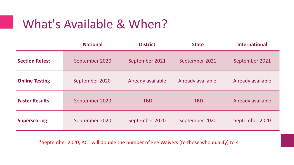## What's Available & When?

|                       | <b>National</b> | <b>District</b>   | <b>State</b>      | <b>International</b> |
|-----------------------|-----------------|-------------------|-------------------|----------------------|
| <b>Section Retest</b> | September 2020  | September 2021    | September 2021    | September 2021       |
| <b>Online Testing</b> | September 2020  | Already available | Already available | Already available    |
| <b>Faster Results</b> | September 2020  | <b>TBD</b>        | <b>TBD</b>        | Already available    |
| <b>Superscoring</b>   | September 2020  | September 2020    | September 2020    | September 2020       |

\*September 2020, ACT will double the number of Fee Waivers (to those who qualify) to 4